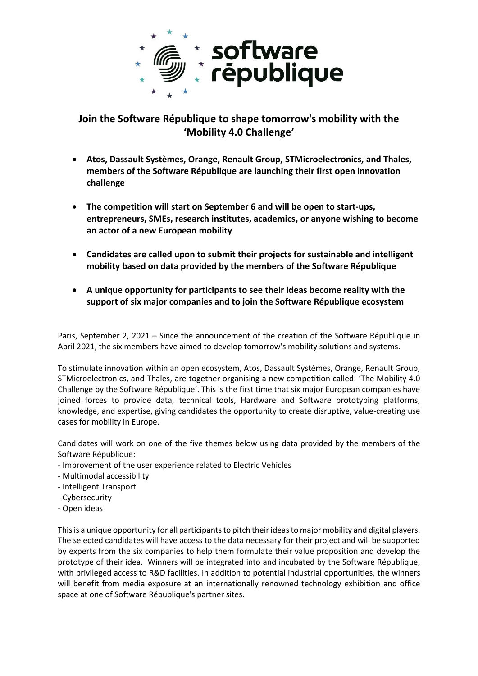

**Join the Software République to shape tomorrow's mobility with the 'Mobility 4.0 Challenge'**

- **Atos, Dassault Systèmes, Orange, Renault Group, STMicroelectronics, and Thales, members of the Software République are launching their first open innovation challenge**
- **The competition will start on September 6 and will be open to start-ups, entrepreneurs, SMEs, research institutes, academics, or anyone wishing to become an actor of a new European mobility**
- **Candidates are called upon to submit their projects for sustainable and intelligent mobility based on data provided by the members of the Software République**
- **A unique opportunity for participants to see their ideas become reality with the support of six major companies and to join the Software République ecosystem**

Paris, September 2, 2021 – Since the announcement of the creation of the Software République in April 2021, the six members have aimed to develop tomorrow's mobility solutions and systems.

To stimulate innovation within an open ecosystem, Atos, Dassault Systèmes, Orange, Renault Group, STMicroelectronics, and Thales, are together organising a new competition called: 'The Mobility 4.0 Challenge by the Software République'. This is the first time that six major European companies have joined forces to provide data, technical tools, Hardware and Software prototyping platforms, knowledge, and expertise, giving candidates the opportunity to create disruptive, value-creating use cases for mobility in Europe.

Candidates will work on one of the five themes below using data provided by the members of the Software République:

- Improvement of the user experience related to Electric Vehicles
- Multimodal accessibility
- Intelligent Transport
- Cybersecurity
- Open ideas

This is a unique opportunity for all participants to pitch their ideas to major mobility and digital players. The selected candidates will have access to the data necessary for their project and will be supported by experts from the six companies to help them formulate their value proposition and develop the prototype of their idea. Winners will be integrated into and incubated by the Software République, with privileged access to R&D facilities. In addition to potential industrial opportunities, the winners will benefit from media exposure at an internationally renowned technology exhibition and office space at one of Software République's partner sites.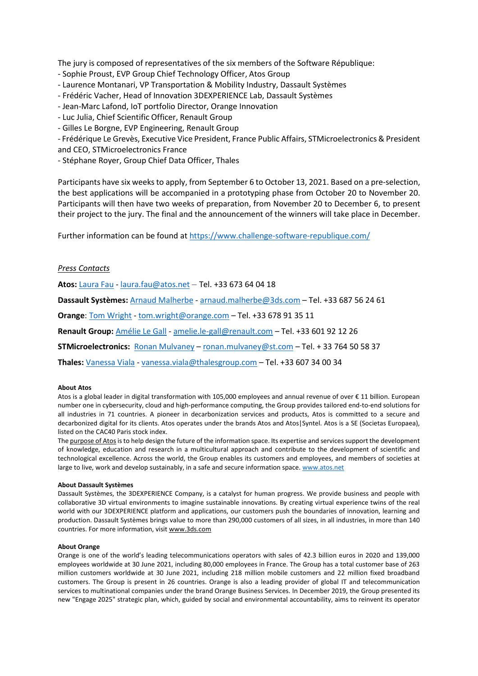The jury is composed of representatives of the six members of the Software République:

- Sophie Proust, EVP Group Chief Technology Officer, Atos Group
- Laurence Montanari, VP Transportation & Mobility Industry, Dassault Systèmes
- Frédéric Vacher, Head of Innovation 3DEXPERIENCE Lab, Dassault Systèmes
- Jean-Marc Lafond, IoT portfolio Director, Orange Innovation
- Luc Julia, Chief Scientific Officer, Renault Group
- Gilles Le Borgne, EVP Engineering, Renault Group

- Frédérique Le Grevès, Executive Vice President, France Public Affairs, STMicroelectronics & President and CEO, STMicroelectronics France

- Stéphane Royer, Group Chief Data Officer, Thales

Participants have six weeksto apply, from September 6 to October 13, 2021. Based on a pre-selection, the best applications will be accompanied in a prototyping phase from October 20 to November 20. Participants will then have two weeks of preparation, from November 20 to December 6, to present their project to the jury. The final and the announcement of the winners will take place in December.

Further information can be found at<https://www.challenge-software-republique.com/>

# *Press Contacts*

**Atos:** [Laura Fau](mailto:Laura%20Fau) - [laura.fau@atos.net](mailto:laura.fau@atos.net) – Tel. +33 673 64 04 18

**Dassault Systèmes:** [Arnaud Malherbe](mailto:Arnaud%20Malherbe) - [arnaud.malherbe@3ds.com](mailto:arnaud.malherbe@3ds.com) – Tel. +33 687 56 24 61

**Orange**: Tom Wright - [tom.wright@orange.com](mailto:tom.wright@orange.com) – Tel. +33 678 91 35 11

**Renault Group:** [Amélie Le Gall](mailto:Amélie%20Le%20Gall) - [amelie.le-gall@renault.com](mailto:amelie.le-gall@renault.com) – Tel. +33 601 92 12 26

**STMicroelectronics:** [Ronan Mulvaney](mailto:ronan.mulvaney@st.com) – [ronan.mulvaney@st.com](mailto:ronan.mulvaney@st.com) – Tel. + 33 764 50 58 37

**Thales:** [Vanessa Viala](mailto:Vanessa%20Viala) - [vanessa.viala@thalesgroup.com](mailto:vanessa.viala@thalesgroup.com) – Tel. +33 607 34 00 34

## **About Atos**

Atos is a global leader in digital transformation with 105,000 employees and annual revenue of over € 11 billion. European number one in cybersecurity, cloud and high-performance computing, the Group provides tailored end-to-end solutions for all industries in 71 countries. A pioneer in decarbonization services and products, Atos is committed to a secure and decarbonized digital for its clients. Atos operates under the brands Atos and Atos|Syntel. Atos is a SE (Societas Europaea), listed on the CAC40 Paris stock index.

The purpose of Atos is to help design the future of the information space. Its expertise and services support the development of knowledge, education and research in a multicultural approach and contribute to the development of scientific and technological excellence. Across the world, the Group enables its customers and employees, and members of societies at large to live, work and develop sustainably, in a safe and secure information space. [www.atos.net](http://www.atos.net/)

### **About Dassault Systèmes**

Dassault Systèmes, the 3DEXPERIENCE Company, is a catalyst for human progress. We provide business and people with collaborative 3D virtual environments to imagine sustainable innovations. By creating virtual experience twins of the real world with our 3DEXPERIENCE platform and applications, our customers push the boundaries of innovation, learning and production. Dassault Systèmes brings value to more than 290,000 customers of all sizes, in all industries, in more than 140 countries. For more information, visit www.3ds.com

### **About Orange**

Orange is one of the world's leading telecommunications operators with sales of 42.3 billion euros in 2020 and 139,000 employees worldwide at 30 June 2021, including 80,000 employees in France. The Group has a total customer base of 263 million customers worldwide at 30 June 2021, including 218 million mobile customers and 22 million fixed broadband customers. The Group is present in 26 countries. Orange is also a leading provider of global IT and telecommunication services to multinational companies under the brand Orange Business Services. In December 2019, the Group presented its new "Engage 2025" strategic plan, which, guided by social and environmental accountability, aims to reinvent its operator